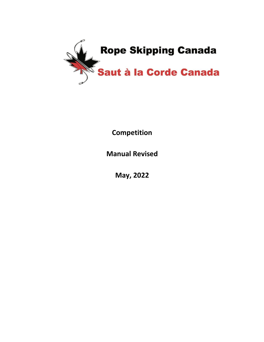

**Competition** 

**Manual Revised** 

**May, 2022**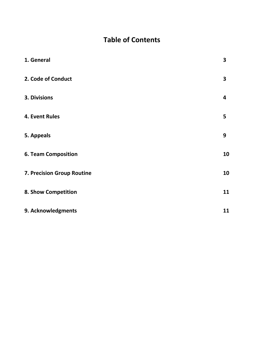# **Table of Contents**

| 1. General                 | 3  |
|----------------------------|----|
| 2. Code of Conduct         | 3  |
| 3. Divisions               | 4  |
| 4. Event Rules             | 5  |
| 5. Appeals                 | 9  |
| <b>6. Team Composition</b> | 10 |
| 7. Precision Group Routine | 10 |
| 8. Show Competition        | 11 |
| 9. Acknowledgments         | 11 |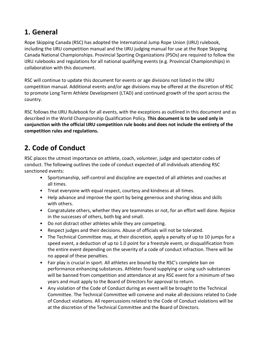# <span id="page-2-0"></span>**1. General**

Rope Skipping Canada (RSC) has adopted the International Jump Rope Union (IJRU) rulebook, including the IJRU competition manual and the IJRU judging manual for use at the Rope Skipping Canada National Championships. Provincial Sporting Organizations (PSOs) are required to follow the IJRU rulebooks and regulations for all national qualifying events (e.g. Provincial Championships) in collaboration with this document.

RSC will continue to update this document for events or age divisions not listed in the IJRU competition manual. Additional events and/or age divisions may be offered at the discretion of RSC to promote Long Term Athlete Development (LTAD) and continued growth of the sport across the country.

RSC follows the IJRU Rulebook for all events, with the exceptions as outlined in this document and as described in the World Championship Qualification Policy. **This document is to be used only in conjunction with the official IJRU competition rule books and does not include the entirety of the competition rules and regulations.**

# <span id="page-2-1"></span>**2. Code of Conduct**

RSC places the utmost importance on athlete, coach, volunteer, judge and spectator codes of conduct. The following outlines the code of conduct expected of all individuals attending RSC sanctioned events:

- Sportsmanship, self-control and discipline are expected of all athletes and coaches at all times.
- Treat everyone with equal respect, courtesy and kindness at all times.
- Help advance and improve the sport by being generous and sharing ideas and skills with others.
- Congratulate others, whether they are teammates or not, for an effort well done. Rejoice in the successes of others, both big and small.
- Do not distract other athletes while they are competing.
- Respect judges and their decisions. Abuse of officials will not be tolerated.
- The Technical Committee may, at their discretion, apply a penalty of up to 10 jumps for a speed event, a deduction of up to 1.0 point for a freestyle event, or disqualification from the entire event depending on the severity of a code of conduct infraction. There will be no appeal of these penalties.
- Fair play is crucial in sport. All athletes are bound by the RSC's complete ban on performance enhancing substances. Athletes found supplying or using such substances will be banned from competition and attendance at any RSC event for a minimum of two years and must apply to the Board of Directors for approval to return.
- Any violation of the Code of Conduct during an event will be brought to the Technical Committee. The Technical Committee will convene and make all decisions related to Code of Conduct violations. All repercussions related to the Code of Conduct violations will be at the discretion of the Technical Committee and the Board of Directors.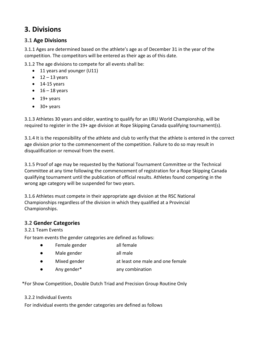# <span id="page-3-0"></span>**3. Divisions**

#### **3.1 Age Divisions**

3.1.1 Ages are determined based on the athlete's age as of December 31 in the year of the competition. The competitors will be entered as their age as of this date.

3.1.2 The age divisions to compete for all events shall be:

- 11 years and younger (U11)
- $\bullet$  12 13 years
- $\bullet$  14-15 years
- $\bullet$  16 18 years
- 19+ years
- 30+ years

3.1.3 Athletes 30 years and older, wanting to qualify for an IJRU World Championship, will be required to register in the 19+ age division at Rope Skipping Canada qualifying tournament(s).

3.1.4 It is the responsibility of the athlete and club to verify that the athlete is entered in the correct age division prior to the commencement of the competition. Failure to do so may result in disqualification or removal from the event.

3.1.5 Proof of age may be requested by the National Tournament Committee or the Technical Committee at any time following the commencement of registration for a Rope Skipping Canada qualifying tournament until the publication of official results. Athletes found competing in the wrong age category will be suspended for two years.

3.1.6 Athletes must compete in their appropriate age division at the RSC National Championships regardless of the division in which they qualified at a Provincial Championships.

#### **3.2 Gender Categories**

3.2.1 Team Events

For team events the gender categories are defined as follows:

- Female gender all female
- Male gender all male
- Mixed gender at least one male and one female
- Any gender\* any combination

\*For Show Competition, Double Dutch Triad and Precision Group Routine Only

#### 3.2.2 Individual Events

For individual events the gender categories are defined as follows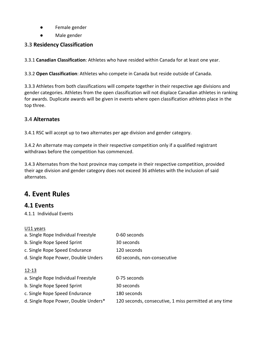- Female gender
- Male gender

## **3.3 Residency Classification**

3.3.1 **Canadian Classification**: Athletes who have resided within Canada for at least one year.

3.3.2 **Open Classification**: Athletes who compete in Canada but reside outside of Canada.

3.3.3 Athletes from both classifications will compete together in their respective age divisions and gender categories. Athletes from the open classification will not displace Canadian athletes in ranking for awards. Duplicate awards will be given in events where open classification athletes place in the top three.

#### **3.4 Alternates**

3.4.1 RSC will accept up to two alternates per age division and gender category.

3.4.2 An alternate may compete in their respective competition only if a qualified registrant withdraws before the competition has commenced.

3.4.3 Alternates from the host province may compete in their respective competition, provided their age division and gender category does not exceed 36 athletes with the inclusion of said alternates.

## <span id="page-4-0"></span>**4. Event Rules**

## **4.1 Events**

4.1.1 Individual Events

#### U11 years

| a. Single Rope Individual Freestyle  | 0-60 seconds                                           |
|--------------------------------------|--------------------------------------------------------|
| b. Single Rope Speed Sprint          | 30 seconds                                             |
| c. Single Rope Speed Endurance       | 120 seconds                                            |
| d. Single Rope Power, Double Unders  | 60 seconds, non-consecutive                            |
| $12 - 13$                            |                                                        |
| a. Single Rope Individual Freestyle  | 0-75 seconds                                           |
| b. Single Rope Speed Sprint          | 30 seconds                                             |
| c. Single Rope Speed Endurance       | 180 seconds                                            |
| d. Single Rope Power, Double Unders* | 120 seconds, consecutive, 1 miss permitted at any time |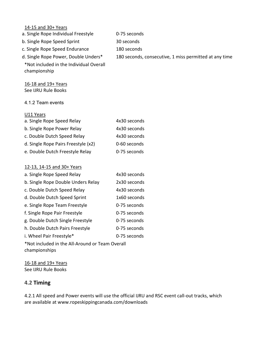| 14-15 and 30+ Years                                              |                                                        |
|------------------------------------------------------------------|--------------------------------------------------------|
| a. Single Rope Individual Freestyle                              | 0-75 seconds                                           |
| b. Single Rope Speed Sprint                                      | 30 seconds                                             |
| c. Single Rope Speed Endurance                                   | 180 seconds                                            |
| d. Single Rope Power, Double Unders*                             | 180 seconds, consecutive, 1 miss permitted at any time |
| *Not included in the Individual Overall<br>championship          |                                                        |
| 16-18 and 19+ Years                                              |                                                        |
| See IJRU Rule Books                                              |                                                        |
| 4.1.2 Team events                                                |                                                        |
| U11 Years                                                        |                                                        |
| a. Single Rope Speed Relay                                       | 4x30 seconds                                           |
| b. Single Rope Power Relay                                       | 4x30 seconds                                           |
| c. Double Dutch Speed Relay                                      | 4x30 seconds                                           |
| d. Single Rope Pairs Freestyle (x2)                              | 0-60 seconds                                           |
| e. Double Dutch Freestyle Relay                                  | 0-75 seconds                                           |
| 12-13, 14-15 and 30+ Years                                       |                                                        |
| a. Single Rope Speed Relay                                       | 4x30 seconds                                           |
| b. Single Rope Double Unders Relay                               | 2x30 seconds                                           |
| c. Double Dutch Speed Relay                                      | 4x30 seconds                                           |
| d. Double Dutch Speed Sprint                                     | 1x60 seconds                                           |
| e. Single Rope Team Freestyle                                    | 0-75 seconds                                           |
| f. Single Rope Pair Freestyle                                    | 0-75 seconds                                           |
| g. Double Dutch Single Freestyle                                 | 0-75 seconds                                           |
| h. Double Dutch Pairs Freestyle                                  | 0-75 seconds                                           |
| i. Wheel Pair Freestyle*                                         | 0-75 seconds                                           |
| *Not included in the All-Around or Team Overall<br>championships |                                                        |

16-18 and 19+ Years See IJRU Rule Books

#### **4.2 Timing**

4.2.1 All speed and Power events will use the official IJRU and RSC event call-out tracks, which are available at [www.ropeskippingcanada.com/downloads](http://www.ropeskippingcanada.com/downloads)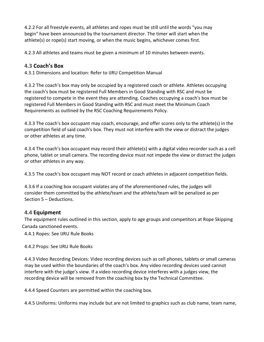4.2.2 For all freestyle events, all athletes and ropes must be still until the words "you may begin" have been announced by the tournament director. The timer will start when the athlete(s) or rope(s) start moving, or when the music begins, whichever comes first.

4.2.3 All athletes and teams must be given a minimum of 10 minutes between events.

#### **4.3 Coach's Box**

4.3.1 Dimensions and location: Refer to IJRU Competition Manual

4.3.2 The coach's box may only be occupied by a registered coach or athlete. Athletes occupying the coach's box must be registered Full Members in Good Standing with RSC and must be registered to compete in the event they are attending. Coaches occupying a coach's box must be registered Full Members in Good Standing with RSC and must meet the Minimum Coach Requirements as outlined by the RSC Coaching Requirements Policy.

4.3.3 The coach's box occupant may coach, encourage, and offer scores only to the athlete(s) in the competition field of said coach's box. They must not interfere with the view or distract the judges or other athletes at any time.

4.3.4 The coach's box occupant may record their athlete(s) with a digital video recorder such as a cell phone, tablet or small camera. The recording device must not impede the view or distract the judges or other athletes in any way.

4.3.5 The coach's box occupant may NOT record or coach athletes in adjacent competition fields.

4.3.6 If a coaching box occupant violates any of the aforementioned rules, the judges will consider them committed by the athlete/team and the athlete/team will be penalized as per Section 5 – Deductions.

#### **4.4 Equipment**

The equipment rules outlined in this section, apply to age groups and competitors at Rope Skipping Canada sanctioned events.

4.4.1 Ropes: See IJRU Rule Books

4.4.2 Props: See IJRU Rule Books

4.4.3 Video Recording Devices: Video recording devices such as cell phones, tablets or small cameras may be used within the boundaries of the coach's box. Any video recording devices used cannot interfere with the judge's view. If a video recording device interferes with a judges view, the recording device will be removed from the coaching box by the Technical Committee.

4.4.4 Speed Counters are permitted within the coaching box.

4.4.5 Uniforms: Uniforms may include but are not limited to graphics such as club name, team name,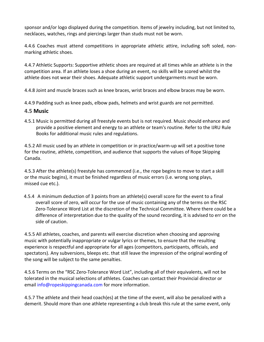sponsor and/or logo displayed during the competition. Items of jewelry including, but not limited to, necklaces, watches, rings and piercings larger than studs must not be worn.

4.4.6 Coaches must attend competitions in appropriate athletic attire, including soft soled, nonmarking athletic shoes.

4.4.7 Athletic Supports: Supportive athletic shoes are required at all times while an athlete is in the competition area. If an athlete loses a shoe during an event, no skills will be scored whilst the athlete does not wear their shoes. Adequate athletic support undergarments must be worn.

4.4.8 Joint and muscle braces such as knee braces, wrist braces and elbow braces may be worn.

4.4.9 Padding such as knee pads, elbow pads, helmets and wrist guards are not permitted.

#### **4.5 Music**

4.5.1 Music is permitted during all freestyle events but is not required. Music should enhance and provide a positive element and energy to an athlete or team's routine. Refer to the IJRU Rule Books for additional music rules and regulations.

4.5.2 All music used by an athlete in competition or in practice/warm-up will set a positive tone for the routine, athlete, competition, and audience that supports the values of Rope Skipping Canada.

4.5.3 After the athlete(s) freestyle has commenced (i.e., the rope begins to move to start a skill or the music begins), it must be finished regardless of music errors (i.e. wrong song plays, missed cue etc.).

4.5.4 A minimum deduction of 3 points from an athlete(s) overall score for the event to a final overall score of zero, will occur for the use of music containing any of the terms on the RSC Zero-Tolerance Word List at the discretion of the Technical Committee. Where there could be a difference of interpretation due to the quality of the sound recording, it is advised to err on the side of caution.

4.5.5 All athletes, coaches, and parents will exercise discretion when choosing and approving music with potentially inappropriate or vulgar lyrics or themes, to ensure that the resulting experience is respectful and appropriate for all ages (competitors, participants, officials, and spectators). Any subversions, bleeps etc. that still leave the impression of the original wording of the song will be subject to the same penalties.

4.5.6 Terms on the "RSC Zero-Tolerance Word List", including all of their equivalents, will not be tolerated in the musical selections of athletes. Coaches can contact their Provincial director or email [info@ropeskippingcanada.com f](mailto:info@ropeskippingcanada.com)or more information.

4.5.7 The athlete and their head coach(es) at the time of the event, will also be penalized with a demerit. Should more than one athlete representing a club break this rule at the same event, only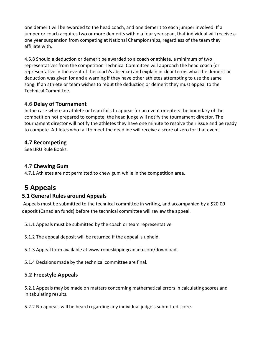one demerit will be awarded to the head coach, and one demerit to each jumper involved. If a jumper or coach acquires two or more demerits within a four year span, that individual will receive a one year suspension from competing at National Championships, regardless of the team they affiliate with.

4.5.8 Should a deduction or demerit be awarded to a coach or athlete, a minimum of two representatives from the competition Technical Committee will approach the head coach (or representative in the event of the coach's absence) and explain in clear terms what the demerit or deduction was given for and a warning if they have other athletes attempting to use the same song. If an athlete or team wishes to rebut the deduction or demerit they must appeal to the Technical Committee.

## **4.6 Delay of Tournament**

In the case where an athlete or team fails to appear for an event or enters the boundary of the competition not prepared to compete, the head judge will notify the tournament director. The tournament director will notify the athletes they have one minute to resolve their issue and be ready to compete. Athletes who fail to meet the deadline will receive a score of zero for that event.

## **4.7 Recompeting**

See IJRU Rule Books.

## **4.7 Chewing Gum**

4.7.1 Athletes are not permitted to chew gum while in the competition area.

# <span id="page-8-0"></span>**5 Appeals**

## **5.1 General Rules around Appeals**

Appeals must be submitted to the technical committee in writing, and accompanied by a \$20.00 deposit (Canadian funds) before the technical committee will review the appeal.

5.1.1 Appeals must be submitted by the coach or team representative

5.1.2 The appeal deposit will be returned if the appeal is upheld.

5.1.3 Appeal form available at [www.ropeskippingcanada.com/downloads](http://www.ropeskippingcanada.com/downloads)

5.1.4 Decisions made by the technical committee are final.

## **5.2 Freestyle Appeals**

5.2.1 Appeals may be made on matters concerning mathematical errors in calculating scores and in tabulating results.

5.2.2 No appeals will be heard regarding any individual judge's submitted score.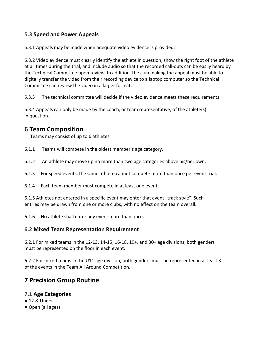#### **5.3 Speed and Power Appeals**

5.3.1 Appeals may be made when adequate video evidence is provided.

5.3.2 Video evidence must clearly identify the athlete in question, show the right foot of the athlete at all times during the trial, and include audio so that the recorded call-outs can be easily heard by the Technical Committee upon review. In addition, the club making the appeal must be able to digitally transfer the video from their recording device to a laptop computer so the Technical Committee can review the video in a larger format.

5.3.3 The technical committee will decide if the video evidence meets these requirements.

5.3.4 Appeals can only be made by the coach, or team representative, of the athlete(s) in question.

## <span id="page-9-0"></span>**6 Team Composition**

Teams may consist of up to 6 athletes.

- 6.1.1 Teams will compete in the oldest member's age category.
- 6.1.2 An athlete may move up no more than two age categories above his/her own.
- 6.1.3 For speed events, the same athlete cannot compete more than once per event trial.
- 6.1.4 Each team member must compete in at least one event.

6.1.5 Athletes not entered in a specific event may enter that event "track style". Such entries may be drawn from one or more clubs, with no effect on the team overall.

6.1.6 No athlete shall enter any event more than once.

#### **6.2 Mixed Team Representation Requirement**

6.2.1 For mixed teams in the 12-13, 14-15, 16-18, 19+, and 30+ age divisions, both genders must be represented on the floor in each event.

6.2.2 For mixed teams in the U11 age division, both genders must be represented in at least 3 of the events in the Team All Around Competition.

## <span id="page-9-1"></span>**7 Precision Group Routine**

#### **7.1 Age Categories**

- 12 & Under
- Open (all ages)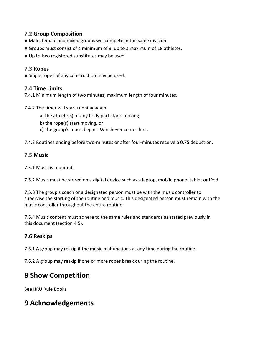#### **7.2 Group Composition**

- Male, female and mixed groups will compete in the same division.
- Groups must consist of a minimum of 8, up to a maximum of 18 athletes.
- Up to two registered substitutes may be used.

#### **7.3 Ropes**

● Single ropes of any construction may be used.

#### **7.4 Time Limits**

7.4.1 Minimum length of two minutes; maximum length of four minutes.

7.4.2 The timer will start running when:

- a) the athlete(s) or any body part starts moving
- b) the rope(s) start moving, or
- c) the group's music begins. Whichever comes first.

7.4.3 Routines ending before two-minutes or after four-minutes receive a 0.75 deduction.

#### **7.5 Music**

7.5.1 Music is required.

7.5.2 Music must be stored on a digital device such as a laptop, mobile phone, tablet or iPod.

7.5.3 The group's coach or a designated person must be with the music controller to supervise the starting of the routine and music. This designated person must remain with the music controller throughout the entire routine.

7.5.4 Music content must adhere to the same rules and standards as stated previously in this document (section 4.5).

## **7.6 Reskips**

7.6.1 A group may reskip if the music malfunctions at any time during the routine.

7.6.2 A group may reskip if one or more ropes break during the routine.

# <span id="page-10-0"></span>**8 Show Competition**

See IJRU Rule Books

# **9 Acknowledgements**